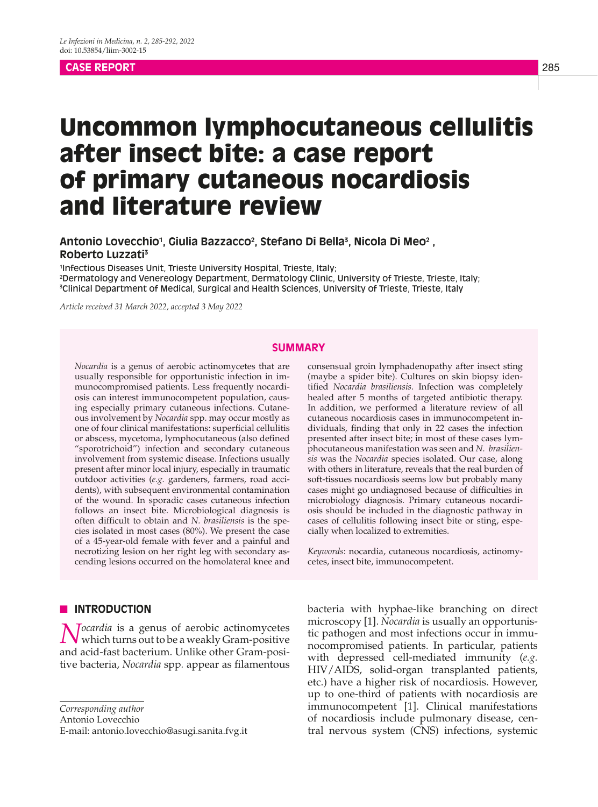#### **CASE REPORT** 285

# Uncommon lymphocutaneous cellulitis after insect bite: a case report of primary cutaneous nocardiosis and literature review

Antonio Lovecchio<sup>1</sup>, Giulia Bazzacco<sup>2</sup>, Stefano Di Bella<sup>3</sup>, Nicola Di Meo<sup>2</sup> , **Roberto Luzzati3**

1 Infectious Diseases Unit, Trieste University Hospital, Trieste, Italy; 2 Dermatology and Venereology Department, Dermatology Clinic, University of Trieste, Trieste, Italy; 3 Clinical Department of Medical, Surgical and Health Sciences, University of Trieste, Trieste, Italy

*Article received 31 March 2022, accepted 3 May 2022*

#### **SUMMARY**

*Nocardia* is a genus of aerobic actinomycetes that are usually responsible for opportunistic infection in immunocompromised patients. Less frequently nocardiosis can interest immunocompetent population, causing especially primary cutaneous infections. Cutaneous involvement by *Nocardia* spp. may occur mostly as one of four clinical manifestations: superficial cellulitis or abscess, mycetoma, lymphocutaneous (also defined "sporotrichoid") infection and secondary cutaneous involvement from systemic disease. Infections usually present after minor local injury, especially in traumatic outdoor activities (*e.g.* gardeners, farmers, road accidents), with subsequent environmental contamination of the wound. In sporadic cases cutaneous infection follows an insect bite. Microbiological diagnosis is often difficult to obtain and *N. brasiliensis* is the species isolated in most cases (80%). We present the case of a 45-year-old female with fever and a painful and necrotizing lesion on her right leg with secondary ascending lesions occurred on the homolateral knee and

# **N INTRODUCTION**

*Nocardia* is a genus of aerobic actinomycetes which turns out to be a weakly Gram-positive and acid-fast bacterium. Unlike other Gram-positive bacteria, *Nocardia* spp*.* appear as filamentous

Antonio Lovecchio

E-mail: antonio.lovecchio@asugi.sanita.fvg.it

consensual groin lymphadenopathy after insect sting (maybe a spider bite). Cultures on skin biopsy identified *Nocardia brasiliensis*. Infection was completely healed after 5 months of targeted antibiotic therapy. In addition, we performed a literature review of all cutaneous nocardiosis cases in immunocompetent individuals, finding that only in 22 cases the infection presented after insect bite; in most of these cases lymphocutaneous manifestation was seen and *N. brasiliensis* was the *Nocardia* species isolated. Our case, along with others in literature, reveals that the real burden of soft-tissues nocardiosis seems low but probably many cases might go undiagnosed because of difficulties in microbiology diagnosis. Primary cutaneous nocardiosis should be included in the diagnostic pathway in cases of cellulitis following insect bite or sting, especially when localized to extremities.

*Keywords*: nocardia, cutaneous nocardiosis, actinomycetes, insect bite, immunocompetent.

bacteria with hyphae-like branching on direct microscopy [1]. *Nocardia* is usually an opportunistic pathogen and most infections occur in immunocompromised patients. In particular, patients with depressed cell-mediated immunity (*e.g.* HIV/AIDS, solid-organ transplanted patients, etc.) have a higher risk of nocardiosis. However, up to one-third of patients with nocardiosis are immunocompetent [1]. Clinical manifestations of nocardiosis include pulmonary disease, central nervous system (CNS) infections, systemic

*Corresponding author*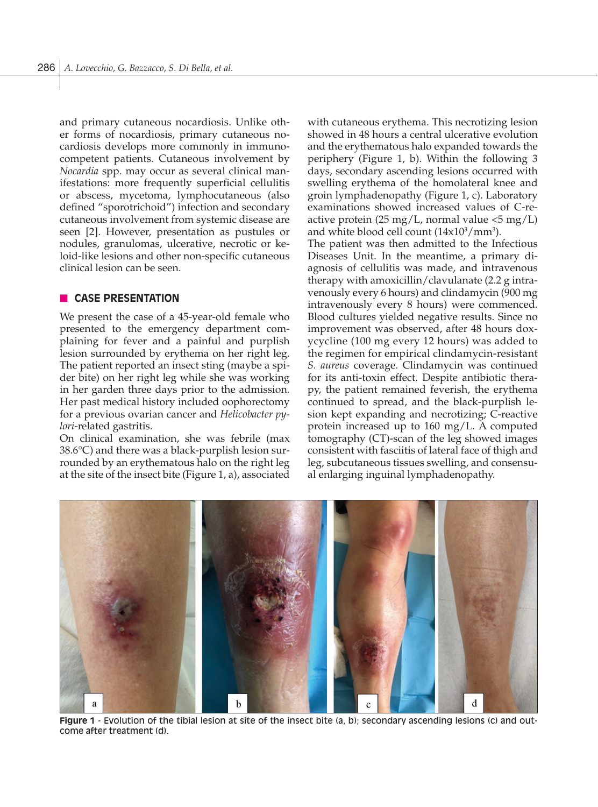and primary cutaneous nocardiosis. Unlike other forms of nocardiosis, primary cutaneous nocardiosis develops more commonly in immunocompetent patients. Cutaneous involvement by *Nocardia* spp. may occur as several clinical manifestations: more frequently superficial cellulitis or abscess, mycetoma, lymphocutaneous (also defined "sporotrichoid") infection and secondary cutaneous involvement from systemic disease are seen [2]. However, presentation as pustules or nodules, granulomas, ulcerative, necrotic or keloid-like lesions and other non-specific cutaneous clinical lesion can be seen.

## **n CASE PRESENTATION**

We present the case of a 45-year-old female who presented to the emergency department complaining for fever and a painful and purplish lesion surrounded by erythema on her right leg. The patient reported an insect sting (maybe a spider bite) on her right leg while she was working in her garden three days prior to the admission. Her past medical history included oophorectomy for a previous ovarian cancer and *Helicobacter pylori*-related gastritis.

On clinical examination, she was febrile (max 38.6°C) and there was a black-purplish lesion surrounded by an erythematous halo on the right leg at the site of the insect bite (Figure 1, a), associated with cutaneous erythema. This necrotizing lesion showed in 48 hours a central ulcerative evolution and the erythematous halo expanded towards the periphery (Figure 1, b). Within the following 3 days, secondary ascending lesions occurred with swelling erythema of the homolateral knee and groin lymphadenopathy (Figure 1, c). Laboratory examinations showed increased values of C-reactive protein  $(25 \text{ mg/L})$ , normal value  $\langle 5 \text{ mg/L} \rangle$ and white blood cell count  $(14x10^3/mm^3)$ .

The patient was then admitted to the Infectious Diseases Unit. In the meantime, a primary diagnosis of cellulitis was made, and intravenous therapy with amoxicillin/clavulanate (2.2 g intravenously every 6 hours) and clindamycin (900 mg intravenously every 8 hours) were commenced. Blood cultures yielded negative results. Since no improvement was observed, after 48 hours doxycycline (100 mg every 12 hours) was added to the regimen for empirical clindamycin-resistant *S. aureus* coverage. Clindamycin was continued for its anti-toxin effect. Despite antibiotic therapy, the patient remained feverish, the erythema continued to spread, and the black-purplish lesion kept expanding and necrotizing; C-reactive protein increased up to 160 mg/L. A computed tomography (CT)-scan of the leg showed images consistent with fasciitis of lateral face of thigh and leg, subcutaneous tissues swelling, and consensual enlarging inguinal lymphadenopathy.



**Figure 1** - Evolution of the tibial lesion at site of the insect bite (a, b); secondary ascending lesions (c) and outcome after treatment (d).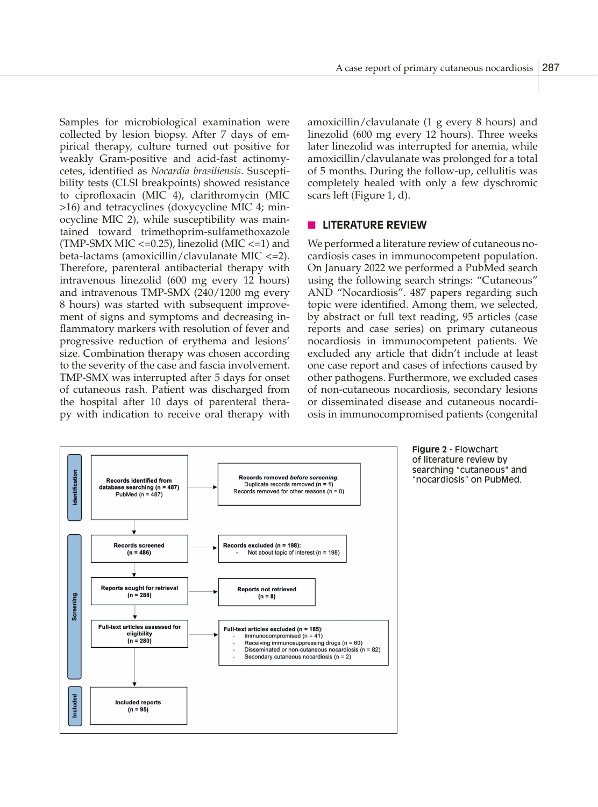Samples for microbiological examination were collected by lesion biopsy. After 7 days of empirical therapy, culture turned out positive for weakly Gram-positive and acid-fast actinomycetes, identified as *Nocardia brasiliensis*. Susceptibility tests (CLSI breakpoints) showed resistance to ciprofloxacin (MIC 4), clarithromycin (MIC >16) and tetracyclines (doxycycline MIC 4; minocycline MIC 2), while susceptibility was maintained toward trimethoprim-sulfamethoxazole (TMP-SMX MIC  $\langle$ =0.25), linezolid (MIC  $\langle$ =1) and beta-lactams (amoxicillin/clavulanate MIC <=2). Therefore, parenteral antibacterial therapy with intravenous linezolid (600 mg every 12 hours) and intravenous TMP-SMX (240/1200 mg every 8 hours) was started with subsequent improvement of signs and symptoms and decreasing inflammatory markers with resolution of fever and progressive reduction of erythema and lesions' size. Combination therapy was chosen according to the severity of the case and fascia involvement. TMP-SMX was interrupted after 5 days for onset of cutaneous rash. Patient was discharged from the hospital after 10 days of parenteral therapy with indication to receive oral therapy with amoxicillin/clavulanate (1 g every 8 hours) and linezolid (600 mg every 12 hours). Three weeks later linezolid was interrupted for anemia, while amoxicillin/clavulanate was prolonged for a total of 5 months. During the follow-up, cellulitis was completely healed with only a few dyschromic scars left (Figure 1, d).

## **N LITERATURE REVIEW**

We performed a literature review of cutaneous nocardiosis cases in immunocompetent population. On January 2022 we performed a PubMed search using the following search strings: "Cutaneous" AND "Nocardiosis". 487 papers regarding such topic were identified. Among them, we selected, by abstract or full text reading, 95 articles (case reports and case series) on primary cutaneous nocardiosis in immunocompetent patients. We excluded any article that didn't include at least one case report and cases of infections caused by other pathogens. Furthermore, we excluded cases of non-cutaneous nocardiosis, secondary lesions or disseminated disease and cutaneous nocardiosis in immunocompromised patients (congenital

> **Figure 2** - Flowchart of literature review by searching "cutaneous" and "nocardiosis" on PubMed.

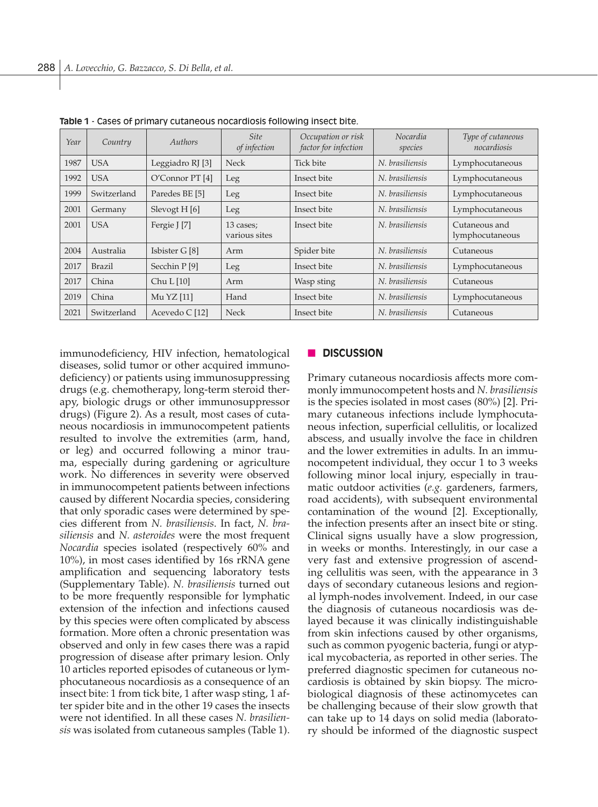| Year | Country     | Authors                   | <b>Site</b><br>of infection | Occupation or risk<br>factor for infection | Nocardia<br>species | Type of cutaneous<br>nocardiosis |
|------|-------------|---------------------------|-----------------------------|--------------------------------------------|---------------------|----------------------------------|
| 1987 | <b>USA</b>  | Leggiadro RJ [3]          | <b>Neck</b>                 | Tick bite                                  | N. brasiliensis     | Lymphocutaneous                  |
| 1992 | <b>USA</b>  | O'Connor PT [4]           | Leg                         | Insect bite                                | N. brasiliensis     | Lymphocutaneous                  |
| 1999 | Switzerland | Paredes BE [5]            | Leg                         | Insect bite                                | N. brasiliensis     | Lymphocutaneous                  |
| 2001 | Germany     | Slevogt H [6]             | Leg                         | Insect bite                                | N. brasiliensis     | Lymphocutaneous                  |
| 2001 | <b>USA</b>  | Fergie J [7]              | 13 cases;<br>various sites  | Insect bite                                | N. brasiliensis     | Cutaneous and<br>lymphocutaneous |
| 2004 | Australia   | Isbister G [8]            | Arm                         | Spider bite                                | N. brasiliensis     | Cutaneous                        |
| 2017 | Brazil      | Secchin P [9]             | Leg                         | Insect bite                                | N. brasiliensis     | Lymphocutaneous                  |
| 2017 | China       | Chu L [10]                | Arm                         | Wasp sting                                 | N. brasiliensis     | Cutaneous                        |
| 2019 | China       | Mu YZ [11]                | Hand                        | Insect bite                                | N. brasiliensis     | Lymphocutaneous                  |
| 2021 | Switzerland | Acevedo C <sup>[12]</sup> | <b>Neck</b>                 | Insect bite                                | N. brasiliensis     | Cutaneous                        |

**Table 1** - Cases of primary cutaneous nocardiosis following insect bite.

immunodeficiency, HIV infection, hematological diseases, solid tumor or other acquired immunodeficiency) or patients using immunosuppressing drugs (e.g. chemotherapy, long-term steroid therapy, biologic drugs or other immunosuppressor drugs) (Figure 2). As a result, most cases of cutaneous nocardiosis in immunocompetent patients resulted to involve the extremities (arm, hand, or leg) and occurred following a minor trauma, especially during gardening or agriculture work. No differences in severity were observed in immunocompetent patients between infections caused by different Nocardia species, considering that only sporadic cases were determined by species different from *N. brasiliensis*. In fact, *N. brasiliensis* and *N. asteroides* were the most frequent *Nocardia* species isolated (respectively 60% and 10%), in most cases identified by 16s rRNA gene amplification and sequencing laboratory tests (Supplementary Table). *N. brasiliensis* turned out to be more frequently responsible for lymphatic extension of the infection and infections caused by this species were often complicated by abscess formation. More often a chronic presentation was observed and only in few cases there was a rapid progression of disease after primary lesion. Only 10 articles reported episodes of cutaneous or lymphocutaneous nocardiosis as a consequence of an insect bite: 1 from tick bite, 1 after wasp sting, 1 after spider bite and in the other 19 cases the insects were not identified. In all these cases *N. brasiliensis* was isolated from cutaneous samples (Table 1).

#### **n** DISCUSSION

Primary cutaneous nocardiosis affects more commonly immunocompetent hosts and *N. brasiliensis* is the species isolated in most cases (80%) [2]. Primary cutaneous infections include lymphocutaneous infection, superficial cellulitis, or localized abscess, and usually involve the face in children and the lower extremities in adults. In an immunocompetent individual, they occur 1 to 3 weeks following minor local injury, especially in traumatic outdoor activities (*e.g.* gardeners, farmers, road accidents), with subsequent environmental contamination of the wound [2]. Exceptionally, the infection presents after an insect bite or sting. Clinical signs usually have a slow progression, in weeks or months. Interestingly, in our case a very fast and extensive progression of ascending cellulitis was seen, with the appearance in 3 days of secondary cutaneous lesions and regional lymph-nodes involvement. Indeed, in our case the diagnosis of cutaneous nocardiosis was delayed because it was clinically indistinguishable from skin infections caused by other organisms, such as common pyogenic bacteria, fungi or atypical mycobacteria, as reported in other series. The preferred diagnostic specimen for cutaneous nocardiosis is obtained by skin biopsy. The microbiological diagnosis of these actinomycetes can be challenging because of their slow growth that can take up to 14 days on solid media (laboratory should be informed of the diagnostic suspect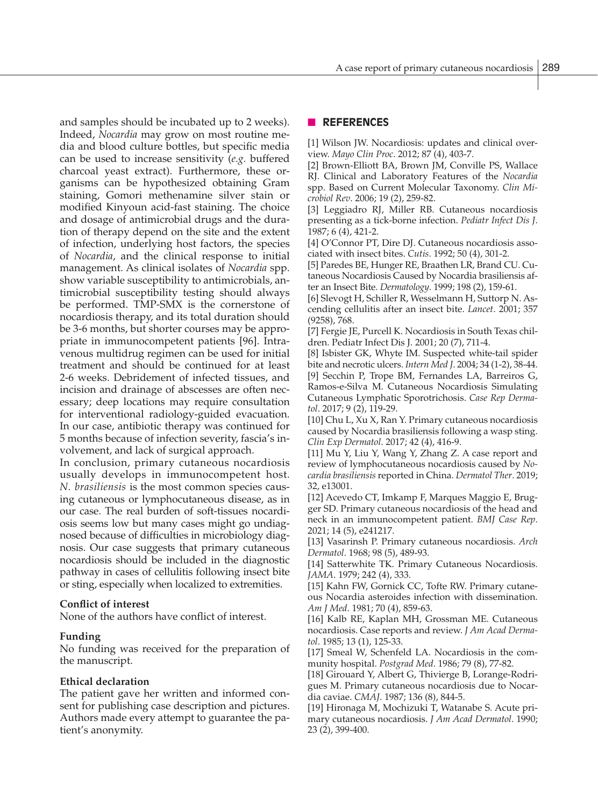and samples should be incubated up to 2 weeks). Indeed, *Nocardia* may grow on most routine media and blood culture bottles, but specific media can be used to increase sensitivity (*e.g.* buffered charcoal yeast extract). Furthermore, these organisms can be hypothesized obtaining Gram staining, Gomori methenamine silver stain or modified Kinyoun acid-fast staining. The choice and dosage of antimicrobial drugs and the duration of therapy depend on the site and the extent of infection, underlying host factors, the species of *Nocardia*, and the clinical response to initial management. As clinical isolates of *Nocardia* spp. show variable susceptibility to antimicrobials, antimicrobial susceptibility testing should always be performed. TMP-SMX is the cornerstone of nocardiosis therapy, and its total duration should be 3-6 months, but shorter courses may be appropriate in immunocompetent patients [96]. Intravenous multidrug regimen can be used for initial treatment and should be continued for at least 2-6 weeks. Debridement of infected tissues, and incision and drainage of abscesses are often necessary; deep locations may require consultation for interventional radiology-guided evacuation. In our case, antibiotic therapy was continued for 5 months because of infection severity, fascia's involvement, and lack of surgical approach.

In conclusion, primary cutaneous nocardiosis usually develops in immunocompetent host. *N. brasiliensis* is the most common species causing cutaneous or lymphocutaneous disease, as in our case. The real burden of soft-tissues nocardiosis seems low but many cases might go undiagnosed because of difficulties in microbiology diagnosis. Our case suggests that primary cutaneous nocardiosis should be included in the diagnostic pathway in cases of cellulitis following insect bite or sting, especially when localized to extremities.

## **Conflict of interest**

None of the authors have conflict of interest.

#### **Funding**

No funding was received for the preparation of the manuscript.

#### **Ethical declaration**

The patient gave her written and informed consent for publishing case description and pictures. Authors made every attempt to guarantee the patient's anonymity.

### n **REFERENCES**

[1] Wilson JW. Nocardiosis: updates and clinical overview. *Mayo Clin Proc*. 2012; 87 (4), 403-7.

[2] Brown-Elliott BA, Brown JM, Conville PS, Wallace RJ. Clinical and Laboratory Features of the *Nocardia* spp. Based on Current Molecular Taxonomy. *Clin Microbiol Rev*. 2006; 19 (2), 259-82.

[3] Leggiadro RJ, Miller RB. Cutaneous nocardiosis presenting as a tick-borne infection. *Pediatr Infect Dis J*. 1987; 6 (4), 421-2.

[4] O'Connor PT, Dire DJ. Cutaneous nocardiosis associated with insect bites. *Cutis*. 1992; 50 (4), 301-2.

[5] Paredes BE, Hunger RE, Braathen LR, Brand CU. Cutaneous Nocardiosis Caused by Nocardia brasiliensis after an Insect Bite. *Dermatology*. 1999; 198 (2), 159-61.

[6] Slevogt H, Schiller R, Wesselmann H, Suttorp N. Ascending cellulitis after an insect bite. *Lancet*. 2001; 357 (9258), 768.

[7] Fergie JE, Purcell K. Nocardiosis in South Texas children. Pediatr Infect Dis J. 2001; 20 (7), 711-4.

[8] Isbister GK, Whyte IM. Suspected white-tail spider bite and necrotic ulcers. *Intern Med J*. 2004; 34 (1-2), 38-44. [9] Secchin P, Trope BM, Fernandes LA, Barreiros G, Ramos-e-Silva M. Cutaneous Nocardiosis Simulating Cutaneous Lymphatic Sporotrichosis. *Case Rep Dermatol*. 2017; 9 (2), 119-29.

[10] Chu L, Xu X, Ran Y. Primary cutaneous nocardiosis caused by Nocardia brasiliensis following a wasp sting. *Clin Exp Dermatol*. 2017; 42 (4), 416-9.

[11] Mu Y, Liu Y, Wang Y, Zhang Z. A case report and review of lymphocutaneous nocardiosis caused by *Nocardia brasiliensis* reported in China. *Dermatol Ther*. 2019; 32, e13001.

[12] Acevedo CT, Imkamp F, Marques Maggio E, Brugger SD. Primary cutaneous nocardiosis of the head and neck in an immunocompetent patient. *BMJ Case Rep*. 2021; 14 (5), e241217.

[13] Vasarinsh P. Primary cutaneous nocardiosis. *Arch Dermatol*. 1968; 98 (5), 489-93.

[14] Satterwhite TK. Primary Cutaneous Nocardiosis. *JAMA*. 1979; 242 (4), 333.

[15] Kahn FW, Gornick CC, Tofte RW. Primary cutaneous Nocardia asteroides infection with dissemination. *Am J Med*. 1981; 70 (4), 859-63.

[16] Kalb RE, Kaplan MH, Grossman ME. Cutaneous nocardiosis. Case reports and review. *J Am Acad Dermatol*. 1985; 13 (1), 125-33.

[17] Smeal W, Schenfeld LA. Nocardiosis in the community hospital. *Postgrad Med*. 1986; 79 (8), 77-82.

[18] Girouard Y, Albert G, Thivierge B, Lorange-Rodrigues M. Primary cutaneous nocardiosis due to Nocardia caviae. *CMAJ*. 1987; 136 (8), 844-5.

[19] Hironaga M, Mochizuki T, Watanabe S. Acute primary cutaneous nocardiosis. *J Am Acad Dermatol*. 1990; 23 (2), 399-400.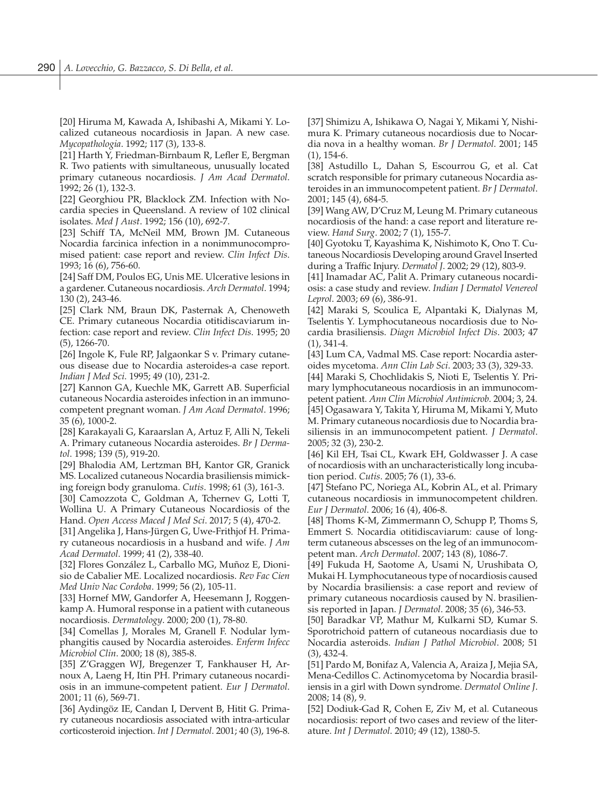[20] Hiruma M, Kawada A, Ishibashi A, Mikami Y. Localized cutaneous nocardiosis in Japan. A new case. *Mycopathologia*. 1992; 117 (3), 133-8.

[21] Harth Y, Friedman-Birnbaum R, Lefler E, Bergman R. Two patients with simultaneous, unusually located primary cutaneous nocardiosis. *J Am Acad Dermatol*. 1992; 26 (1), 132-3.

[22] Georghiou PR, Blacklock ZM. Infection with Nocardia species in Queensland. A review of 102 clinical isolates. *Med J Aust*. 1992; 156 (10), 692-7.

[23] Schiff TA, McNeil MM, Brown JM. Cutaneous Nocardia farcinica infection in a nonimmunocompromised patient: case report and review. *Clin Infect Dis*. 1993; 16 (6), 756-60.

[24] Saff DM, Poulos EG, Unis ME. Ulcerative lesions in a gardener. Cutaneous nocardiosis. *Arch Dermatol*. 1994; 130 (2), 243-46.

[25] Clark NM, Braun DK, Pasternak A, Chenoweth CE. Primary cutaneous Nocardia otitidiscaviarum infection: case report and review. *Clin Infect Dis*. 1995; 20 (5), 1266-70.

[26] Ingole K, Fule RP, Jalgaonkar S v. Primary cutaneous disease due to Nocardia asteroides-a case report. *Indian J Med Sci*. 1995; 49 (10), 231-2.

[27] Kannon GA, Kuechle MK, Garrett AB. Superficial cutaneous Nocardia asteroides infection in an immunocompetent pregnant woman. *J Am Acad Dermatol*. 1996; 35 (6), 1000-2.

[28] Karakayali G, Karaarslan A, Artuz F, Alli N, Tekeli A. Primary cutaneous Nocardia asteroides. *Br J Dermatol*. 1998; 139 (5), 919-20.

[29] Bhalodia AM, Lertzman BH, Kantor GR, Granick MS. Localized cutaneous Nocardia brasiliensis mimicking foreign body granuloma. *Cutis*. 1998; 61 (3), 161-3.

[30] Camozzota C, Goldman A, Tchernev G, Lotti T, Wollina U. A Primary Cutaneous Nocardiosis of the Hand. *Open Access Maced J Med Sci*. 2017; 5 (4), 470-2.

[31] Angelika J, Hans-Jürgen G, Uwe-Frithjof H. Primary cutaneous nocardiosis in a husband and wife. *J Am Acad Dermatol*. 1999; 41 (2), 338-40.

[32] Flores González L, Carballo MG, Muñoz E, Dionisio de Cabalier ME. Localized nocardiosis. *Rev Fac Cien Med Univ Nac Cordoba*. 1999; 56 (2), 105-11.

[33] Hornef MW, Gandorfer A, Heesemann J, Roggenkamp A. Humoral response in a patient with cutaneous nocardiosis. *Dermatology*. 2000; 200 (1), 78-80.

[34] Comellas J, Morales M, Granell F. Nodular lymphangitis caused by Nocardia asteroides. *Enferm Infecc Microbiol Clin*. 2000; 18 (8), 385-8.

[35] Z'Graggen WJ, Bregenzer T, Fankhauser H, Arnoux A, Laeng H, Itin PH. Primary cutaneous nocardiosis in an immune-competent patient. *Eur J Dermatol*. 2001; 11 (6), 569-71.

[36] Aydingöz IE, Candan I, Dervent B, Hitit G. Primary cutaneous nocardiosis associated with intra-articular corticosteroid injection. *Int J Dermatol*. 2001; 40 (3), 196-8. [37] Shimizu A, Ishikawa O, Nagai Y, Mikami Y, Nishimura K. Primary cutaneous nocardiosis due to Nocardia nova in a healthy woman. *Br J Dermatol*. 2001; 145 (1), 154-6.

[38] Astudillo L, Dahan S, Escourrou G, et al. Cat scratch responsible for primary cutaneous Nocardia asteroides in an immunocompetent patient. *Br J Dermatol*. 2001; 145 (4), 684-5.

[39] Wang AW, D'Cruz M, Leung M. Primary cutaneous nocardiosis of the hand: a case report and literature review. *Hand Surg*. 2002; 7 (1), 155-7.

[40] Gyotoku T, Kayashima K, Nishimoto K, Ono T. Cutaneous Nocardiosis Developing around Gravel Inserted during a Traffic Injury. *Dermatol J*. 2002; 29 (12), 803-9.

[41] Inamadar AC, Palit A. Primary cutaneous nocardiosis: a case study and review. *Indian J Dermatol Venereol Leprol*. 2003; 69 (6), 386-91.

[42] Maraki S, Scoulica E, Alpantaki K, Dialynas M, Tselentis Y. Lymphocutaneous nocardiosis due to Nocardia brasiliensis. *Diagn Microbiol Infect Dis*. 2003; 47 (1), 341-4.

[43] Lum CA, Vadmal MS. Case report: Nocardia asteroides mycetoma. *Ann Clin Lab Sci*. 2003; 33 (3), 329-33.

[44] Maraki S, Chochlidakis S, Nioti E, Tselentis Y. Primary lymphocutaneous nocardiosis in an immunocompetent patient. *Ann Clin Microbiol Antimicrob*. 2004; 3, 24. [45] Ogasawara Y, Takita Y, Hiruma M, Mikami Y, Muto M. Primary cutaneous nocardiosis due to Nocardia brasiliensis in an immunocompetent patient. *J Dermatol*. 2005; 32 (3), 230-2.

[46] Kil EH, Tsai CL, Kwark EH, Goldwasser J. A case of nocardiosis with an uncharacteristically long incubation period. *Cutis*. 2005; 76 (1), 33-6.

[47] Stefano PC, Noriega AL, Kobrin AL, et al. Primary cutaneous nocardiosis in immunocompetent children. *Eur J Dermatol*. 2006; 16 (4), 406-8.

[48] Thoms K-M, Zimmermann O, Schupp P, Thoms S, Emmert S. Nocardia otitidiscaviarum: cause of longterm cutaneous abscesses on the leg of an immunocompetent man. *Arch Dermatol*. 2007; 143 (8), 1086-7.

[49] Fukuda H, Saotome A, Usami N, Urushibata O, Mukai H. Lymphocutaneous type of nocardiosis caused by Nocardia brasiliensis: a case report and review of primary cutaneous nocardiosis caused by N. brasiliensis reported in Japan. *J Dermatol*. 2008; 35 (6), 346-53.

[50] Baradkar VP, Mathur M, Kulkarni SD, Kumar S. Sporotrichoid pattern of cutaneous nocardiasis due to Nocardia asteroids. *Indian J Pathol Microbiol*. 2008; 51 (3), 432-4.

[51] Pardo M, Bonifaz A, Valencia A, Araiza J, Mejia SA, Mena-Cedillos C. Actinomycetoma by Nocardia brasiliensis in a girl with Down syndrome. *Dermatol Online J*. 2008; 14 (8), 9.

[52] Dodiuk-Gad R, Cohen E, Ziv M, et al*.* Cutaneous nocardiosis: report of two cases and review of the literature. *Int J Dermatol*. 2010; 49 (12), 1380-5.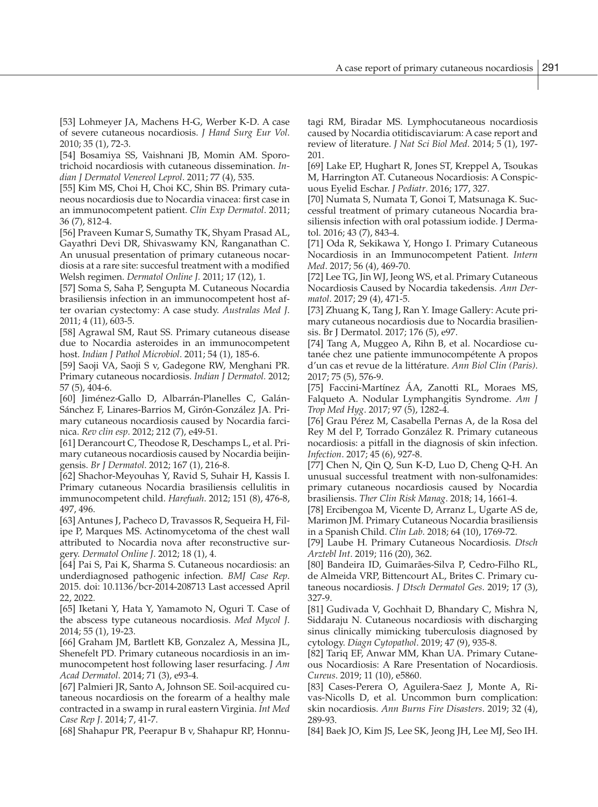[53] Lohmeyer JA, Machens H-G, Werber K-D. A case of severe cutaneous nocardiosis. *J Hand Surg Eur Vol*. 2010; 35 (1), 72-3.

[54] Bosamiya SS, Vaishnani JB, Momin AM. Sporotrichoid nocardiosis with cutaneous dissemination. *Indian J Dermatol Venereol Leprol*. 2011; 77 (4), 535.

[55] Kim MS, Choi H, Choi KC, Shin BS. Primary cutaneous nocardiosis due to Nocardia vinacea: first case in an immunocompetent patient. *Clin Exp Dermatol*. 2011; 36 (7), 812-4.

[56] Praveen Kumar S, Sumathy TK, Shyam Prasad AL, Gayathri Devi DR, Shivaswamy KN, Ranganathan C. An unusual presentation of primary cutaneous nocardiosis at a rare site: succesful treatment with a modified Welsh regimen. *Dermatol Online J.* 2011; 17 (12), 1.

[57] Soma S, Saha P, Sengupta M. Cutaneous Nocardia brasiliensis infection in an immunocompetent host after ovarian cystectomy: A case study. *Australas Med J*. 2011; 4 (11), 603-5.

[58] Agrawal SM, Raut SS. Primary cutaneous disease due to Nocardia asteroides in an immunocompetent host. *Indian J Pathol Microbiol*. 2011; 54 (1), 185-6.

[59] Saoji VA, Saoji S v, Gadegone RW, Menghani PR. Primary cutaneous nocardiosis. *Indian J Dermatol.* 2012; 57 (5), 404-6.

[60] Jiménez-Gallo D, Albarrán-Planelles C, Galán-Sánchez F, Linares-Barrios M, Girón-González JA. Primary cutaneous nocardiosis caused by Nocardia farcinica. *Rev clin esp*. 2012; 212 (7), e49-51.

[61] Derancourt C, Theodose R, Deschamps L, et al. Primary cutaneous nocardiosis caused by Nocardia beijingensis. *Br J Dermatol*. 2012; 167 (1), 216-8.

[62] Shachor-Meyouhas Y, Ravid S, Suhair H, Kassis I. Primary cutaneous Nocardia brasiliensis cellulitis in immunocompetent child. *Harefuah*. 2012; 151 (8), 476-8, 497, 496.

[63] Antunes J, Pacheco D, Travassos R, Sequeira H, Filipe P, Marques MS. Actinomycetoma of the chest wall attributed to Nocardia nova after reconstructive surgery. *Dermatol Online J*. 2012; 18 (1), 4.

[64] Pai S, Pai K, Sharma S. Cutaneous nocardiosis: an underdiagnosed pathogenic infection. *BMJ Case Rep*. 2015. doi: 10.1136/bcr-2014-208713 Last accessed April 22, 2022.

[65] Iketani Y, Hata Y, Yamamoto N, Oguri T. Case of the abscess type cutaneous nocardiosis. *Med Mycol J*. 2014; 55 (1), 19-23.

[66] Graham JM, Bartlett KB, Gonzalez A, Messina JL, Shenefelt PD. Primary cutaneous nocardiosis in an immunocompetent host following laser resurfacing. *J Am Acad Dermatol*. 2014; 71 (3), e93-4.

[67] Palmieri JR, Santo A, Johnson SE. Soil-acquired cutaneous nocardiosis on the forearm of a healthy male contracted in a swamp in rural eastern Virginia. *Int Med Case Rep J*. 2014; 7, 41-7.

[68] Shahapur PR, Peerapur B v, Shahapur RP, Honnu-

tagi RM, Biradar MS. Lymphocutaneous nocardiosis caused by Nocardia otitidiscaviarum: A case report and review of literature. *J Nat Sci Biol Med*. 2014; 5 (1), 197- 201.

[69] Lake EP, Hughart R, Jones ST, Kreppel A, Tsoukas M, Harrington AT. Cutaneous Nocardiosis: A Conspicuous Eyelid Eschar. *J Pediatr*. 2016; 177, 327.

[70] Numata S, Numata T, Gonoi T, Matsunaga K. Successful treatment of primary cutaneous Nocardia brasiliensis infection with oral potassium iodide. J Dermatol. 2016; 43 (7), 843-4.

[71] Oda R, Sekikawa Y, Hongo I. Primary Cutaneous Nocardiosis in an Immunocompetent Patient. *Intern Med*. 2017; 56 (4), 469-70.

[72] Lee TG, Jin WJ, Jeong WS, et al. Primary Cutaneous Nocardiosis Caused by Nocardia takedensis. *Ann Dermatol*. 2017; 29 (4), 471-5.

[73] Zhuang K, Tang J, Ran Y. Image Gallery: Acute primary cutaneous nocardiosis due to Nocardia brasiliensis. Br J Dermatol. 2017; 176 (5), e97.

[74] Tang A, Muggeo A, Rihn B, et al. Nocardiose cutanée chez une patiente immunocompétente A propos d'un cas et revue de la littérature. *Ann Biol Clin (Paris)*. 2017; 75 (5), 576-9.

[75] Faccini-Martínez ÁA, Zanotti RL, Moraes MS, Falqueto A. Nodular Lymphangitis Syndrome. *Am J Trop Med Hyg*. 2017; 97 (5), 1282-4.

[76] Grau Pérez M, Casabella Pernas A, de la Rosa del Rey M del P, Torrado González R. Primary cutaneous nocardiosis: a pitfall in the diagnosis of skin infection. *Infection*. 2017; 45 (6), 927-8.

[77] Chen N, Qin Q, Sun K-D, Luo D, Cheng Q-H. An unusual successful treatment with non-sulfonamides: primary cutaneous nocardiosis caused by Nocardia brasiliensis. *Ther Clin Risk Manag*. 2018; 14, 1661-4.

[78] Ercibengoa M, Vicente D, Arranz L, Ugarte AS de, Marimon JM. Primary Cutaneous Nocardia brasiliensis in a Spanish Child. *Clin Lab*. 2018; 64 (10), 1769-72.

[79] Laube H. Primary Cutaneous Nocardiosis. *Dtsch Arztebl Int*. 2019; 116 (20), 362.

[80] Bandeira ID, Guimarães-Silva P, Cedro-Filho RL, de Almeida VRP, Bittencourt AL, Brites C. Primary cutaneous nocardiosis. *J Dtsch Dermatol Ges*. 2019; 17 (3), 327-9.

[81] Gudivada V, Gochhait D, Bhandary C, Mishra N, Siddaraju N. Cutaneous nocardiosis with discharging sinus clinically mimicking tuberculosis diagnosed by cytology. *Diagn Cytopathol*. 2019; 47 (9), 935-8.

[82] Tariq EF, Anwar MM, Khan UA. Primary Cutaneous Nocardiosis: A Rare Presentation of Nocardiosis. *Cureus*. 2019; 11 (10), e5860.

[83] Cases-Perera O, Aguilera-Saez J, Monte A, Rivas-Nicolls D, et al. Uncommon burn complication: skin nocardiosis. *Ann Burns Fire Disasters*. 2019; 32 (4), 289-93.

[84] Baek JO, Kim JS, Lee SK, Jeong JH, Lee MJ, Seo IH.